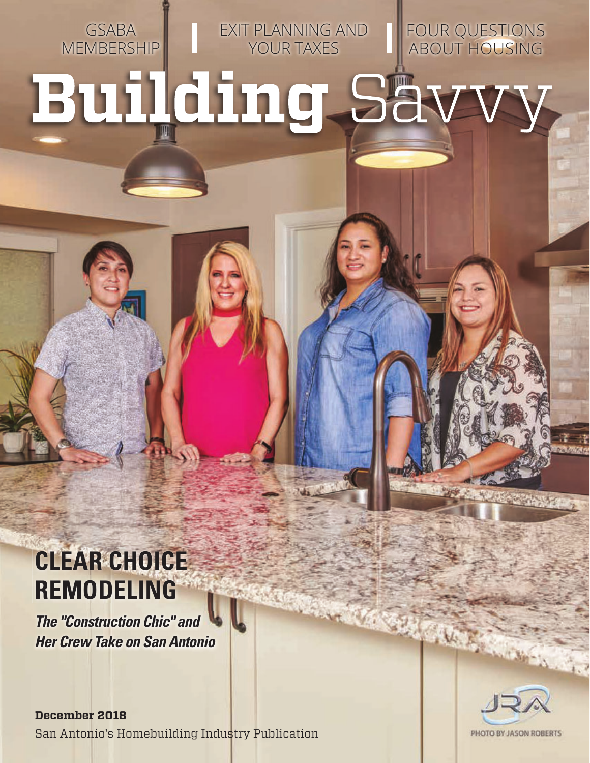GSABA **MEMBERSHIP**  EXIT PLANNING AND YOUR TAXES

FOUR QUESTIONS ABOUT HOUSING

# **Building Så**

### **CLEAR CHOICE REMODELING**

*The "Construction Chic" and Her Crew Take on San Antonio*

**December 2018** San Antonio's Homebuilding Industry Publication

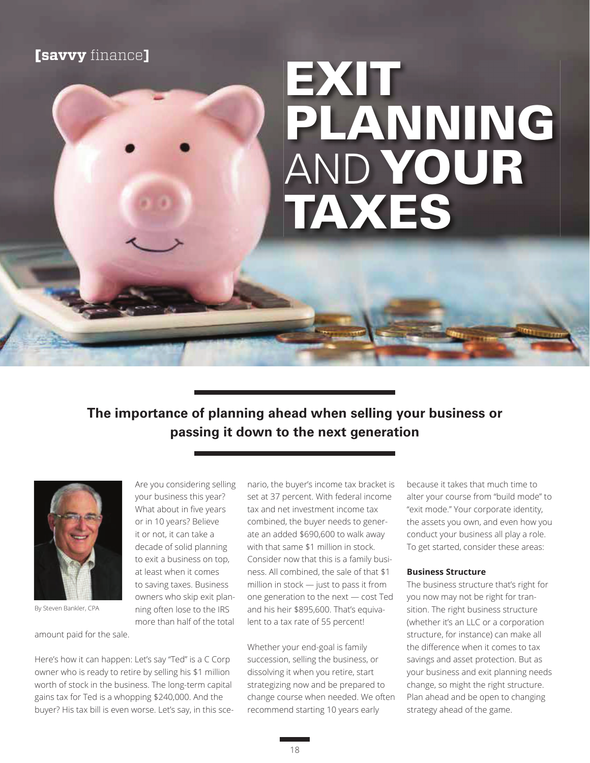#### **[savvy** finance]

## **EXIT PLANNING** AND **YOUR TAXES**

#### **The importance of planning ahead when selling your business or passing it down to the next generation**



By Steven Bankler, CPA

amount paid for the sale.

Here's how it can happen: Let's say "Ted" is a C Corp owner who is ready to retire by selling his \$1 million worth of stock in the business. The long-term capital gains tax for Ted is a whopping \$240,000. And the buyer? His tax bill is even worse. Let's say, in this sce-

Are you considering selling your business this year? What about in five years or in 10 years? Believe it or not, it can take a decade of solid planning to exit a business on top, at least when it comes to saving taxes. Business owners who skip exit planning often lose to the IRS more than half of the total

nario, the buyer's income tax bracket is set at 37 percent. With federal income tax and net investment income tax combined, the buyer needs to generate an added \$690,600 to walk away with that same \$1 million in stock. Consider now that this is a family business. All combined, the sale of that \$1 million in stock  $-$  just to pass it from one generation to the next  $-$  cost Ted and his heir \$895,600. That's equivalent to a tax rate of 55 percent!

Whether your end-goal is family succession, selling the business, or dissolving it when you retire, start strategizing now and be prepared to change course when needed. We often recommend starting 10 years early

because it takes that much time to alter your course from "build mode" to "exit mode." Your corporate identity, the assets you own, and even how you conduct your business all play a role. To get started, consider these areas:

#### **Business Structure**

The business structure that's right for you now may not be right for transition. The right business structure (whether it's an LLC or a corporation structure, for instance) can make all the difference when it comes to tax savings and asset protection. But as your business and exit planning needs change, so might the right structure. Plan ahead and be open to changing strategy ahead of the game.